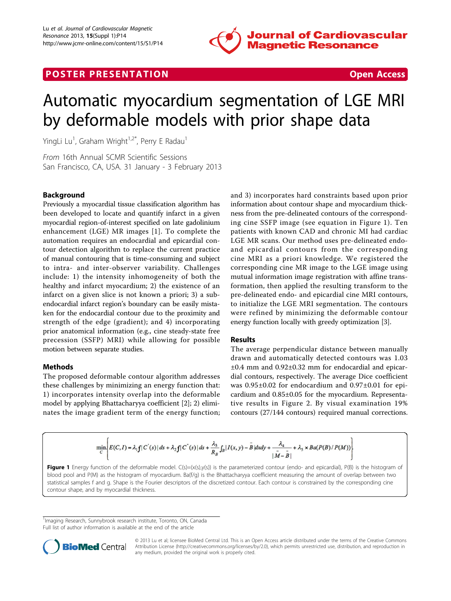

## **POSTER PRESENTATION CONSUMING THE SECOND CONSUMING THE SECOND CONSUMING THE SECOND CONSUMING THE SECOND CONSUMING THE SECOND CONSUMING THE SECOND CONSUMING THE SECOND CONSUMING THE SECOND CONSUMING THE SECOND CONSUMING**



# Automatic myocardium segmentation of LGE MRI by deformable models with prior shape data

YingLi Lu<sup>1</sup>, Graham Wright<sup>1,2\*</sup>, Perry E Radau<sup>1</sup>

From 16th Annual SCMR Scientific Sessions San Francisco, CA, USA. 31 January - 3 February 2013

## Background

Previously a myocardial tissue classification algorithm has been developed to locate and quantify infarct in a given myocardial region-of-interest specified on late gadolinium enhancement (LGE) MR images [[1\]](#page-1-0). To complete the automation requires an endocardial and epicardial contour detection algorithm to replace the current practice of manual contouring that is time-consuming and subject to intra- and inter-observer variability. Challenges include: 1) the intensity inhomogeneity of both the healthy and infarct myocardium; 2) the existence of an infarct on a given slice is not known a priori; 3) a subendocardial infarct region's boundary can be easily mistaken for the endocardial contour due to the proximity and strength of the edge (gradient); and 4) incorporating prior anatomical information (e.g., cine steady-state free precession (SSFP) MRI) while allowing for possible motion between separate studies.

## Methods

The proposed deformable contour algorithm addresses these challenges by minimizing an energy function that: 1) incorporates intensity overlap into the deformable model by applying Bhattacharyya coefficient [[2\]](#page-1-0); 2) eliminates the image gradient term of the energy function; and 3) incorporates hard constraints based upon prior information about contour shape and myocardium thickness from the pre-delineated contours of the corresponding cine SSFP image (see equation in Figure 1). Ten patients with known CAD and chronic MI had cardiac LGE MR scans. Our method uses pre-delineated endoand epicardial contours from the corresponding cine MRI as a priori knowledge. We registered the corresponding cine MR image to the LGE image using mutual information image registration with affine transformation, then applied the resulting transform to the pre-delineated endo- and epicardial cine MRI contours, to initialize the LGE MRI segmentation. The contours were refined by minimizing the deformable contour energy function locally with greedy optimization [[3\]](#page-1-0).

## Results

The average perpendicular distance between manually drawn and automatically detected contours was 1.03 ±0.4 mm and 0.92±0.32 mm for endocardial and epicardial contours, respectively. The average Dice coefficient was 0.95±0.02 for endocardium and 0.97±0.01 for epicardium and 0.85±0.05 for the myocardium. Representative results in Figure [2.](#page-1-0) By visual examination 19% contours (27/144 contours) required manual corrections.

$$
\min_{C} \left\{ E(C, I) = \lambda_1 f \mid C'(s) \mid ds + \lambda_2 f \mid C''(s) \mid ds + \frac{\lambda_3}{R_B} \int_B |I(x, y) - \overline{B}| dx dy + \frac{\lambda_4}{|\overline{M} - \overline{B}|} + \lambda_5 \times Ba(P(B)/P(M)) \right\}
$$

Figure 1 Energy function of the deformable model.  $C(s) = (x(s), y(s))$  is the parameterized contour (endo- and epicardial),  $P(B)$  is the histogram of blood pool and P(M) as the histogram of myocardium. Ba(f/g) is the Bhattacharyya coefficient measuring the amount of overlap between two statistical samples f and g. Shape is the Fourier descriptors of the discretized contour. Each contour is constrained by the corresponding cine contour shape, and by myocardial thickness.

<sup>1</sup>Imaging Research, Sunnybrook research institute, Toronto, ON, Canada Full list of author information is available at the end of the article



© 2013 Lu et al; licensee BioMed Central Ltd. This is an Open Access article distributed under the terms of the Creative Commons Attribution License [\(http://creativecommons.org/licenses/by/2.0](http://creativecommons.org/licenses/by/2.0)), which permits unrestricted use, distribution, and reproduction in any medium, provided the original work is properly cited.